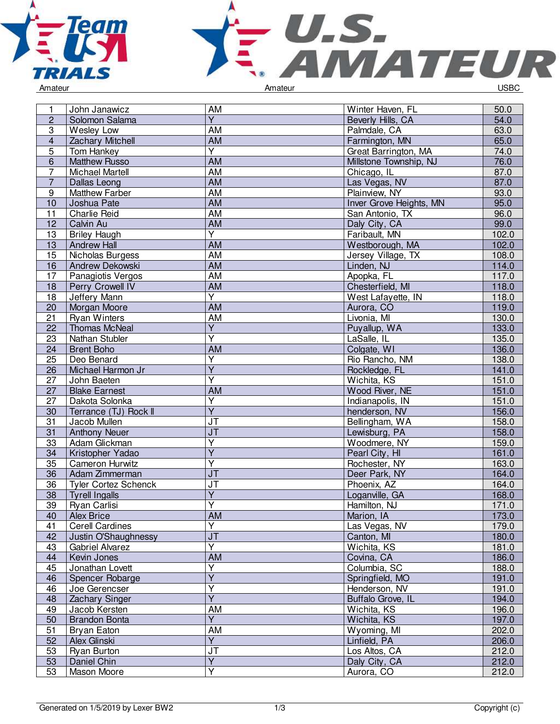



| 1               | John Janawicz               | AM                                | Winter Haven, FL        | 50.0  |
|-----------------|-----------------------------|-----------------------------------|-------------------------|-------|
| $\overline{2}$  | Solomon Salama              | $\overline{Y}$                    | Beverly Hills, CA       | 54.0  |
| 3               |                             | AM                                |                         | 63.0  |
|                 | Wesley Low                  |                                   | Palmdale, CA            |       |
| $\overline{4}$  | <b>Zachary Mitchell</b>     | AM<br>Y                           | Farmington, MN          | 65.0  |
| 5               | Tom Hankey                  |                                   | Great Barrington, MA    | 74.0  |
| $\overline{6}$  | <b>Matthew Russo</b>        | <b>AM</b>                         | Millstone Township, NJ  | 76.0  |
| $\overline{7}$  | Michael Martell             | <b>AM</b>                         | Chicago, IL             | 87.0  |
| $\overline{7}$  | Dallas Leong                | <b>AM</b>                         | Las Vegas, NV           | 87.0  |
| 9               | <b>Matthew Farber</b>       | <b>AM</b>                         | Plainview, NY           | 93.0  |
| 10              | Joshua Pate                 | <b>AM</b>                         | Inver Grove Heights, MN | 95.0  |
| 11              | <b>Charlie Reid</b>         | AM                                | San Antonio, TX         | 96.0  |
| 12              | Calvin Au                   | <b>AM</b>                         | Daly City, CA           | 99.0  |
| 13              | <b>Briley Haugh</b>         | Y                                 | Faribault, MN           | 102.0 |
| 13              | <b>Andrew Hall</b>          | AM                                | Westborough, MA         | 102.0 |
| 15              | Nicholas Burgess            | <b>AM</b>                         | Jersey Village, TX      | 108.0 |
| 16              | Andrew Dekowski             | <b>AM</b>                         | Linden, NJ              | 114.0 |
| 17              | Panagiotis Vergos           | $\overline{AM}$                   | Apopka, FL              | 117.0 |
| 18              | <b>Perry Crowell IV</b>     | <b>AM</b>                         | Chesterfield, MI        | 118.0 |
| 18              | <b>Jeffery Mann</b>         | $\overline{Y}$                    | West Lafayette, IN      | 118.0 |
| 20              | Morgan Moore                | <b>AM</b>                         | Aurora, CO              | 119.0 |
| 21              | <b>Ryan Winters</b>         | AM                                | Livonia, MI             | 130.0 |
| 22              | <b>Thomas McNeal</b>        | $\overline{Y}$                    | Puyallup, WA            | 133.0 |
| 23              | Nathan Stubler              | Ý                                 | LaSalle, IL             | 135.0 |
| 24              | <b>Brent Boho</b>           | AM                                | Colgate, WI             | 136.0 |
| 25              | Deo Benard                  | Υ                                 | Rio Rancho, NM          | 138.0 |
| 26              | Michael Harmon Jr           | $\overline{Y}$                    | Rockledge, FL           | 141.0 |
| $\overline{27}$ | John Baeten                 | $\overline{\mathsf{Y}}$           | Wichita, KS             | 151.0 |
| $\overline{27}$ | <b>Blake Earnest</b>        | <b>AM</b>                         | Wood River, NE          | 151.0 |
| 27              | Dakota Solonka              | Y                                 | Indianapolis, IN        | 151.0 |
| 30              | Terrance (TJ) Rock II       | $\overline{Y}$                    | henderson, NV           | 156.0 |
| 31              | Jacob Mullen                | JT                                | Bellingham, WA          | 158.0 |
| 31              | <b>Anthony Neuer</b>        | J <sub>T</sub>                    | Lewisburg, PA           | 158.0 |
| 33              | Adam Glickman               | Υ                                 | Woodmere, NY            | 159.0 |
| 34              | Kristopher Yadao            | $\overline{\mathsf{Y}}$           | Pearl City, HI          | 161.0 |
| $\overline{35}$ | <b>Cameron Hurwitz</b>      | $\overline{\mathsf{Y}}$           | Rochester, NY           | 163.0 |
| 36              | Adam Zimmerman              | $\overline{\mathsf{J}\mathsf{T}}$ | Deer Park, NY           | 164.0 |
| 36              | <b>Tyler Cortez Schenck</b> | <b>JT</b>                         | Phoenix, AZ             | 164.0 |
| 38              | <b>Tyrell Ingalls</b>       | $\overline{\mathsf{Y}}$           | Loganville, GA          | 168.0 |
| 39              | Ryan Carlisi                | Ÿ                                 | Hamilton, NJ            | 171.0 |
| 40              | <b>Alex Brice</b>           | AM                                | Marion, IA              | 173.0 |
| 41              | <b>Cerell Cardines</b>      | $\overline{\mathsf{Y}}$           | Las Vegas, NV           | 179.0 |
| 42              | Justin O'Shaughnessy        | JT                                | Canton, MI              | 180.0 |
| 43              | Gabriel Alvarez             | Y                                 | Wichita, KS             | 181.0 |
| 44              | Kevin Jones                 | AM                                | Covina, CA              | 186.0 |
| 45              | Jonathan Lovett             | Y                                 | Columbia, SC            | 188.0 |
| 46              | Spencer Robarge             | $\overline{\mathsf{Y}}$           | Springfield, MO         | 191.0 |
| 46              | Joe Gerencser               | Y                                 | Henderson, NV           | 191.0 |
| 48              | Zachary Singer              | $\overline{Y}$                    | Buffalo Grove, IL       | 194.0 |
| 49              | Jacob Kersten               | AM                                | Wichita, KS             | 196.0 |
| 50              | <b>Brandon Bonta</b>        | $\overline{Y}$                    | Wichita, KS             | 197.0 |
| 51              | Bryan Eaton                 | AM                                | Wyoming, MI             | 202.0 |
| 52              | Alex Glinski                | Y                                 | Linfield, PA            | 206.0 |
| 53              | Ryan Burton                 | <b>JT</b>                         | Los Altos, CA           | 212.0 |
| 53              | Daniel Chin                 | $\overline{Y}$                    | Daly City, CA           | 212.0 |
| 53              | Mason Moore                 | Ÿ                                 | Aurora, CO              | 212.0 |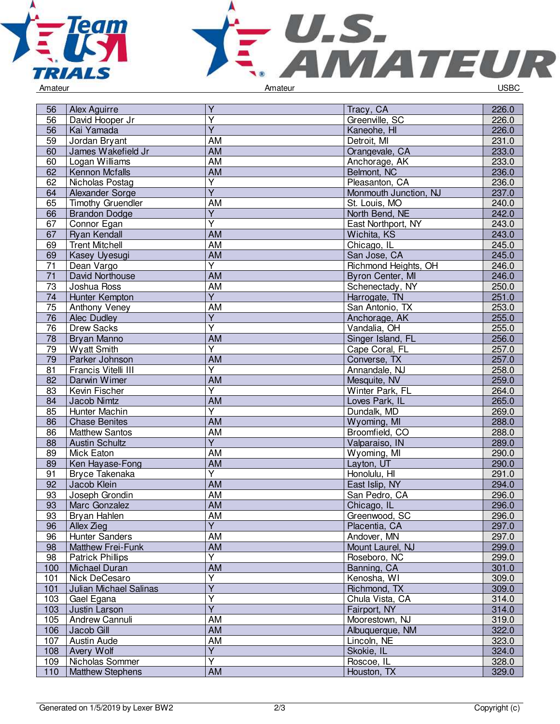



| 56              | Alex Aguirre                  | Y                       | Tracy, CA             | 226.0 |
|-----------------|-------------------------------|-------------------------|-----------------------|-------|
| 56              | David Hooper Jr               | Υ                       | Greenville, SC        | 226.0 |
| 56              | Kai Yamada                    | $\overline{Y}$          | Kaneohe, HI           | 226.0 |
| 59              | Jordan Bryant                 | AM                      | Detroit, MI           | 231.0 |
| 60              | James Wakefield Jr            | AM                      | Orangevale, CA        | 233.0 |
| 60              | Logan Williams                | AM                      | Anchorage, AK         | 233.0 |
| 62              | Kennon Mcfalls                | <b>AM</b>               | Belmont, NC           | 236.0 |
| 62              | Nicholas Postag               | $\overline{Y}$          | Pleasanton, CA        | 236.0 |
| 64              | Alexander Sorge               | $\overline{Y}$          | Monmouth Junction, NJ | 237.0 |
| 65              | <b>Timothy Gruendler</b>      | AM                      | St. Louis, MO         | 240.0 |
| 66              | <b>Brandon Dodge</b>          | $\overline{Y}$          | North Bend, NE        | 242.0 |
| 67              | Connor Egan                   | Υ                       | East Northport, NY    | 243.0 |
| 67              | Ryan Kendall                  | AM                      | Wichita, KS           | 243.0 |
| 69              | <b>Trent Mitchell</b>         | AM                      | Chicago, IL           | 245.0 |
| 69              | Kasey Uyesugi                 | AM                      | San Jose, CA          | 245.0 |
| $\overline{71}$ | Dean Vargo                    | Ÿ                       | Richmond Heights, OH  | 246.0 |
| $\overline{71}$ | David Northouse               | <b>AM</b>               | Byron Center, MI      | 246.0 |
| 73              | Joshua Ross                   | <b>AM</b>               | Schenectady, NY       | 250.0 |
| 74              | Hunter Kempton                | $\overline{Y}$          | Harrogate, TN         | 251.0 |
| 75              | Anthony Veney                 | <b>AM</b>               | San Antonio, TX       | 253.0 |
| 76              | Alec Dudley                   | $\overline{Y}$          | Anchorage, AK         | 255.0 |
| 76              | <b>Drew Sacks</b>             | Υ                       | Vandalia, OH          | 255.0 |
| 78              | Bryan Manno                   | AM                      | Singer Island, FL     | 256.0 |
| 79              | <b>Wyatt Smith</b>            | $\overline{\mathsf{Y}}$ | Cape Coral, FL        | 257.0 |
| 79              | Parker Johnson                | <b>AM</b>               | Converse, TX          | 257.0 |
| 81              | Francis Vitelli III           | Ÿ                       | Annandale, NJ         | 258.0 |
| 82              | Darwin Wimer                  | <b>AM</b>               | Mesquite, NV          | 259.0 |
| 83              | Kevin Fischer                 | Ÿ                       | Winter Park, FL       | 264.0 |
| 84              | Jacob Nimtz                   | <b>AM</b>               | Loves Park, IL        | 265.0 |
| 85              | Hunter Machin                 | $\overline{Y}$          | Dundalk, MD           | 269.0 |
| 86              | <b>Chase Benites</b>          | AM                      | Wyoming, MI           | 288.0 |
| 86              | Matthew Santos                | AM                      | Broomfield, CO        | 288.0 |
| 88              | <b>Austin Schultz</b>         | $\overline{Y}$          | Valparaiso, IN        | 289.0 |
| 89              | Mick Eaton                    | AM                      | Wyoming, MI           | 290.0 |
| 89              | Ken Hayase-Fong               | AM                      | Layton, UT            | 290.0 |
| 91              | <b>Bryce Takenaka</b>         | Ÿ                       | Honolulu, HI          | 291.0 |
| 92              | Jacob Klein                   | <b>AM</b>               | East Islip, NY        | 294.0 |
| 93              | Joseph Grondin                | <b>AM</b>               | San Pedro, CA         | 296.0 |
| 93              | Marc Gonzalez                 | AM                      | Chicago, IL           | 296.0 |
| 93              | <b>Bryan Hahlen</b>           | <b>AM</b>               | Greenwood, SC         | 296.0 |
| 96              | Allex Zieg                    | $\overline{Y}$          | Placentia, CA         | 297.0 |
| 96              | <b>Hunter Sanders</b>         | AM                      | Andover, MN           | 297.0 |
| 98              | Matthew Frei-Funk             | AM                      | Mount Laurel, NJ      | 299.0 |
| 98              | <b>Patrick Phillips</b>       | Υ                       | Roseboro, NC          | 299.0 |
| 100             | Michael Duran                 | <b>AM</b>               | Banning, CA           | 301.0 |
| 101             | Nick DeCesaro                 | $\overline{\mathsf{Y}}$ | Kenosha, WI           | 309.0 |
| 101             | <b>Julian Michael Salinas</b> | $\overline{Y}$          | Richmond, TX          | 309.0 |
| 103             | Gael Egana                    | $\overline{Y}$          | Chula Vista, CA       | 314.0 |
| 103             | Justin Larson                 | $\overline{Y}$          | Fairport, NY          | 314.0 |
| 105             | Andrew Cannuli                | AM                      | Moorestown, NJ        | 319.0 |
| 106             | Jacob Gill                    | AM                      | Albuquerque, NM       | 322.0 |
| 107             | Austin Aude                   | AM                      | Lincoln, NE           | 323.0 |
| 108             | <b>Avery Wolf</b>             | $\overline{Y}$          | Skokie, IL            | 324.0 |
| 109             | Nicholas Sommer               | Υ                       | Roscoe, IL            | 328.0 |
| 110             | <b>Matthew Stephens</b>       | <b>AM</b>               | Houston, TX           | 329.0 |